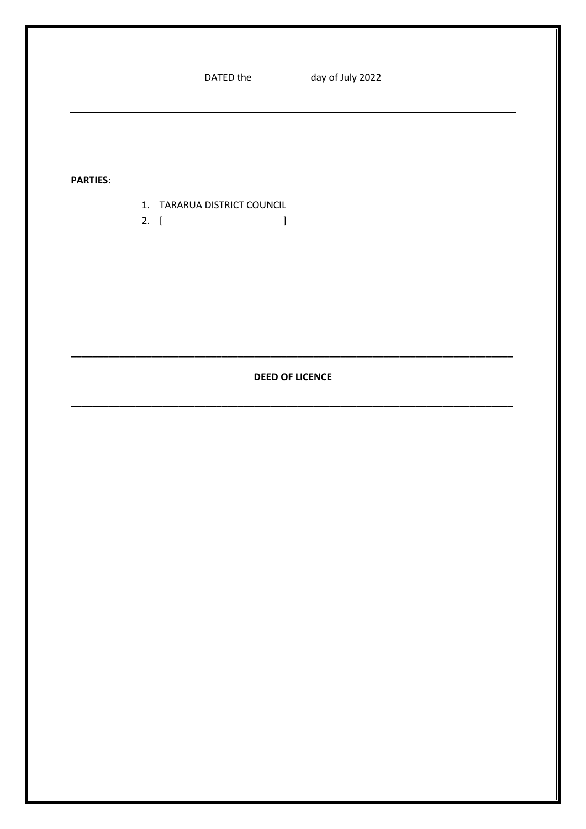| DATED the |  |
|-----------|--|
|-----------|--|

**PARTIES:** 

- 1. TARARUA DISTRICT COUNCIL
- 2.  $\left[ \begin{array}{cc} 1 & 1 \end{array} \right]$

### **DEED OF LICENCE**

 $\mathbf{I}$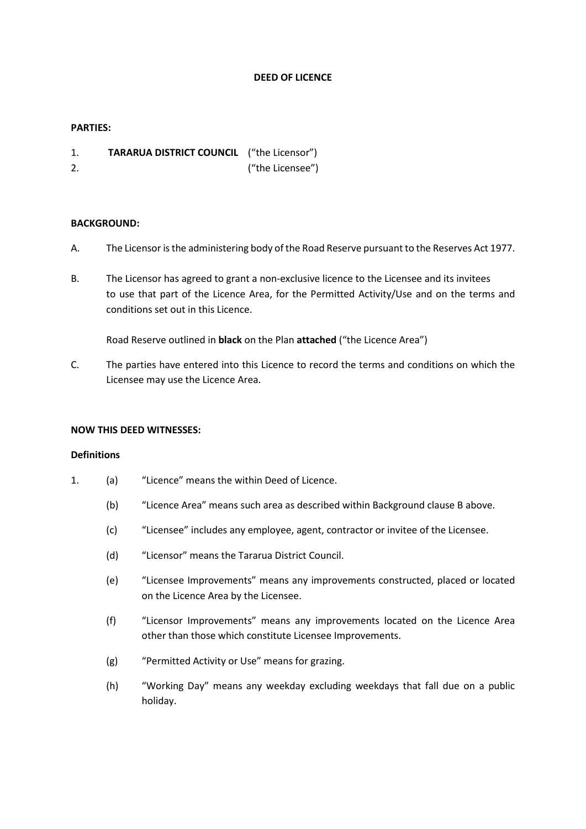#### **DEED OF LICENCE**

#### **PARTIES:**

- 1. **TARARUA DISTRICT COUNCIL** ("the Licensor")
- 2. ("the Licensee")

#### **BACKGROUND:**

- A. The Licensor isthe administering body of the Road Reserve pursuant to the Reserves Act 1977.
- B. The Licensor has agreed to grant a non-exclusive licence to the Licensee and its invitees to use that part of the Licence Area, for the Permitted Activity/Use and on the terms and conditions set out in this Licence.

Road Reserve outlined in **black** on the Plan **attached** ("the Licence Area")

C. The parties have entered into this Licence to record the terms and conditions on which the Licensee may use the Licence Area.

#### **NOW THIS DEED WITNESSES:**

#### **Definitions**

- 1. (a) "Licence" means the within Deed of Licence.
	- (b) "Licence Area" means such area as described within Background clause B above.
	- (c) "Licensee" includes any employee, agent, contractor or invitee of the Licensee.
	- (d) "Licensor" means the Tararua District Council.
	- (e) "Licensee Improvements" means any improvements constructed, placed or located on the Licence Area by the Licensee.
	- (f) "Licensor Improvements" means any improvements located on the Licence Area other than those which constitute Licensee Improvements.
	- (g) "Permitted Activity or Use" means for grazing.
	- (h) "Working Day" means any weekday excluding weekdays that fall due on a public holiday.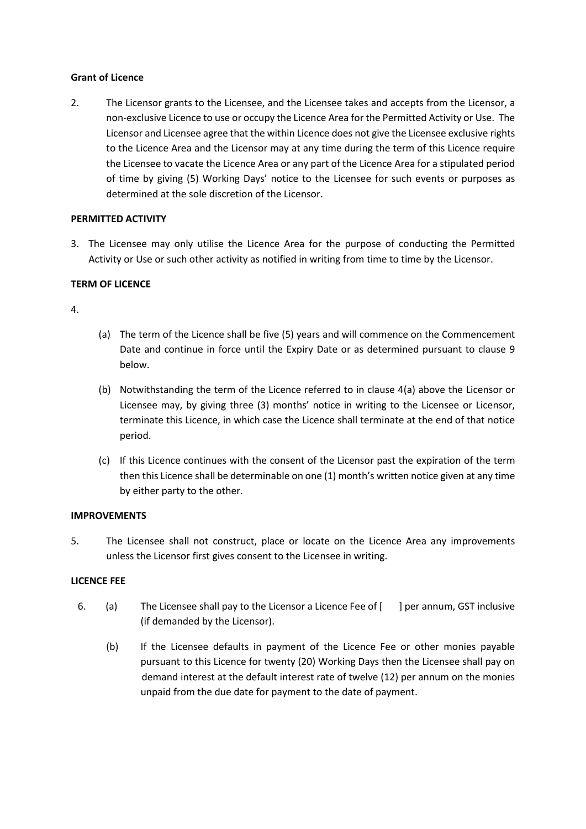#### **Grant of Licence**

2. The Licensor grants to the Licensee, and the Licensee takes and accepts from the Licensor, a non-exclusive Licence to use or occupy the Licence Area for the Permitted Activity or Use. The Licensor and Licensee agree that the within Licence does not give the Licensee exclusive rights to the Licence Area and the Licensor may at any time during the term of this Licence require the Licensee to vacate the Licence Area or any part of the Licence Area for a stipulated period of time by giving (5) Working Days' notice to the Licensee for such events or purposes as determined at the sole discretion of the Licensor.

### **PERMITTED ACTIVITY**

3. The Licensee may only utilise the Licence Area for the purpose of conducting the Permitted Activity or Use or such other activity as notified in writing from time to time by the Licensor.

### **TERM OF LICENCE**

### 4.

- (a) The term of the Licence shall be five (5) years and will commence on the Commencement Date and continue in force until the Expiry Date or as determined pursuant to clause 9 below.
- (b) Notwithstanding the term of the Licence referred to in clause 4(a) above the Licensor or Licensee may, by giving three (3) months' notice in writing to the Licensee or Licensor, terminate this Licence, in which case the Licence shall terminate at the end of that notice period.
- (c) If this Licence continues with the consent of the Licensor past the expiration of the term then this Licence shall be determinable on one (1) month's written notice given at any time by either party to the other.

### **IMPROVEMENTS**

5. The Licensee shall not construct, place or locate on the Licence Area any improvements unless the Licensor first gives consent to the Licensee in writing.

### **LICENCE FEE**

- 6. (a) The Licensee shall pay to the Licensor a Licence Fee of [ ] per annum, GST inclusive (if demanded by the Licensor).
	- (b) If the Licensee defaults in payment of the Licence Fee or other monies payable pursuant to this Licence for twenty (20) Working Days then the Licensee shall pay on demand interest at the default interest rate of twelve (12) per annum on the monies unpaid from the due date for payment to the date of payment.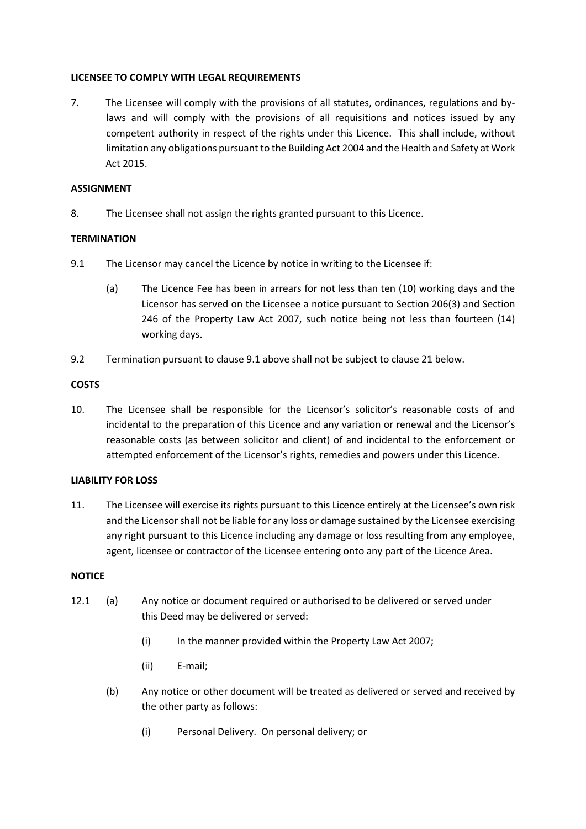#### **LICENSEE TO COMPLY WITH LEGAL REQUIREMENTS**

7. The Licensee will comply with the provisions of all statutes, ordinances, regulations and bylaws and will comply with the provisions of all requisitions and notices issued by any competent authority in respect of the rights under this Licence. This shall include, without limitation any obligations pursuant to the Building Act 2004 and the Health and Safety at Work Act 2015.

### **ASSIGNMENT**

8. The Licensee shall not assign the rights granted pursuant to this Licence.

### **TERMINATION**

- 9.1 The Licensor may cancel the Licence by notice in writing to the Licensee if:
	- (a) The Licence Fee has been in arrears for not less than ten (10) working days and the Licensor has served on the Licensee a notice pursuant to Section 206(3) and Section 246 of the Property Law Act 2007, such notice being not less than fourteen (14) working days.
- 9.2 Termination pursuant to clause 9.1 above shall not be subject to clause 21 below.

### **COSTS**

10. The Licensee shall be responsible for the Licensor's solicitor's reasonable costs of and incidental to the preparation of this Licence and any variation or renewal and the Licensor's reasonable costs (as between solicitor and client) of and incidental to the enforcement or attempted enforcement of the Licensor's rights, remedies and powers under this Licence.

### **LIABILITY FOR LOSS**

11. The Licensee will exercise its rights pursuant to this Licence entirely at the Licensee's own risk and the Licensor shall not be liable for any loss or damage sustained by the Licensee exercising any right pursuant to this Licence including any damage or loss resulting from any employee, agent, licensee or contractor of the Licensee entering onto any part of the Licence Area.

### **NOTICE**

- 12.1 (a) Any notice or document required or authorised to be delivered or served under this Deed may be delivered or served:
	- (i) In the manner provided within the Property Law Act 2007;
	- (ii) E-mail;
	- (b) Any notice or other document will be treated as delivered or served and received by the other party as follows:
		- (i) Personal Delivery. On personal delivery; or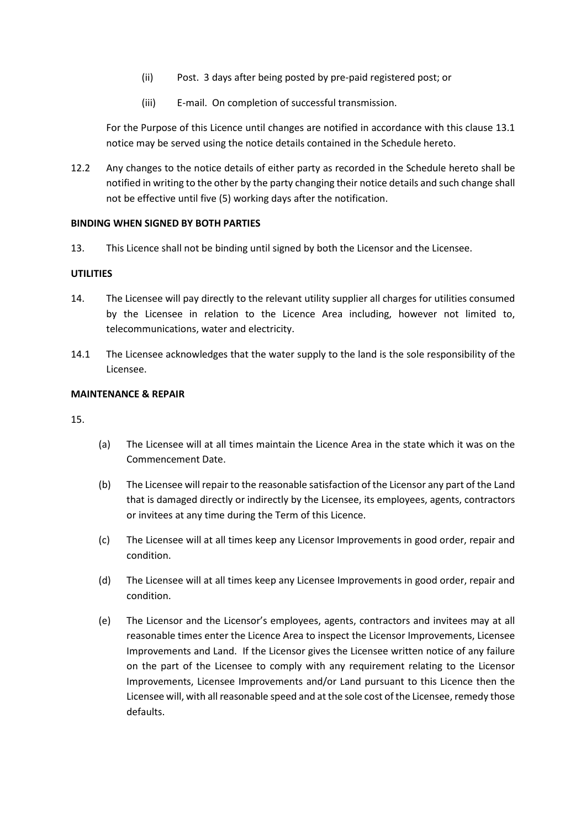- (ii) Post. 3 days after being posted by pre-paid registered post; or
- (iii) E-mail. On completion of successful transmission.

For the Purpose of this Licence until changes are notified in accordance with this clause 13.1 notice may be served using the notice details contained in the Schedule hereto.

12.2 Any changes to the notice details of either party as recorded in the Schedule hereto shall be notified in writing to the other by the party changing their notice details and such change shall not be effective until five (5) working days after the notification.

#### **BINDING WHEN SIGNED BY BOTH PARTIES**

13. This Licence shall not be binding until signed by both the Licensor and the Licensee.

### **UTILITIES**

- 14. The Licensee will pay directly to the relevant utility supplier all charges for utilities consumed by the Licensee in relation to the Licence Area including, however not limited to, telecommunications, water and electricity.
- 14.1 The Licensee acknowledges that the water supply to the land is the sole responsibility of the Licensee.

#### **MAINTENANCE & REPAIR**

15.

- (a) The Licensee will at all times maintain the Licence Area in the state which it was on the Commencement Date.
- (b) The Licensee will repair to the reasonable satisfaction of the Licensor any part of the Land that is damaged directly or indirectly by the Licensee, its employees, agents, contractors or invitees at any time during the Term of this Licence.
- (c) The Licensee will at all times keep any Licensor Improvements in good order, repair and condition.
- (d) The Licensee will at all times keep any Licensee Improvements in good order, repair and condition.
- (e) The Licensor and the Licensor's employees, agents, contractors and invitees may at all reasonable times enter the Licence Area to inspect the Licensor Improvements, Licensee Improvements and Land. If the Licensor gives the Licensee written notice of any failure on the part of the Licensee to comply with any requirement relating to the Licensor Improvements, Licensee Improvements and/or Land pursuant to this Licence then the Licensee will, with all reasonable speed and at the sole cost of the Licensee, remedy those defaults.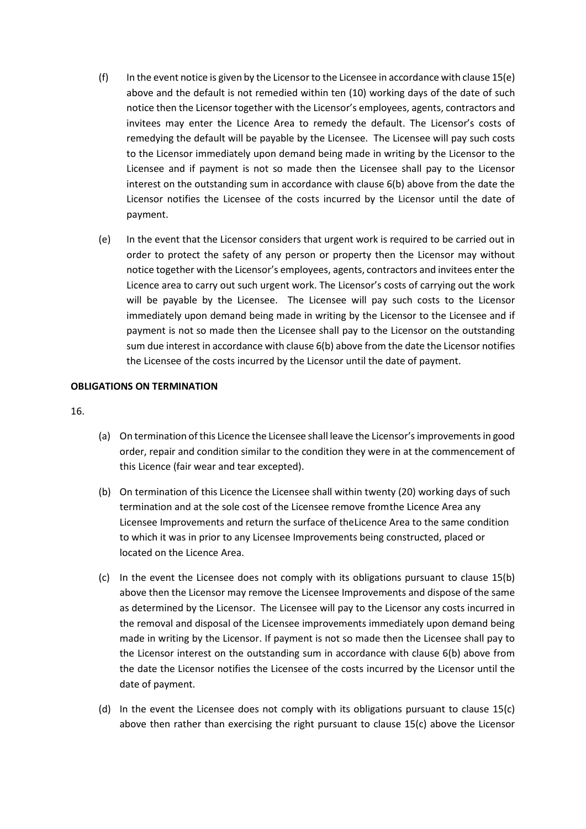- (f) In the event notice is given by the Licensor to the Licensee in accordance with clause  $15(e)$ above and the default is not remedied within ten (10) working days of the date of such notice then the Licensor together with the Licensor's employees, agents, contractors and invitees may enter the Licence Area to remedy the default. The Licensor's costs of remedying the default will be payable by the Licensee. The Licensee will pay such costs to the Licensor immediately upon demand being made in writing by the Licensor to the Licensee and if payment is not so made then the Licensee shall pay to the Licensor interest on the outstanding sum in accordance with clause 6(b) above from the date the Licensor notifies the Licensee of the costs incurred by the Licensor until the date of payment.
- (e) In the event that the Licensor considers that urgent work is required to be carried out in order to protect the safety of any person or property then the Licensor may without notice together with the Licensor's employees, agents, contractors and invitees enter the Licence area to carry out such urgent work. The Licensor's costs of carrying out the work will be payable by the Licensee. The Licensee will pay such costs to the Licensor immediately upon demand being made in writing by the Licensor to the Licensee and if payment is not so made then the Licensee shall pay to the Licensor on the outstanding sum due interest in accordance with clause 6(b) above from the date the Licensor notifies the Licensee of the costs incurred by the Licensor until the date of payment.

### **OBLIGATIONS ON TERMINATION**

16.

- (a) On termination of this Licence the Licensee shall leave the Licensor'simprovements in good order, repair and condition similar to the condition they were in at the commencement of this Licence (fair wear and tear excepted).
- (b) On termination of this Licence the Licensee shall within twenty (20) working days of such termination and at the sole cost of the Licensee remove fromthe Licence Area any Licensee Improvements and return the surface of theLicence Area to the same condition to which it was in prior to any Licensee Improvements being constructed, placed or located on the Licence Area.
- (c) In the event the Licensee does not comply with its obligations pursuant to clause 15(b) above then the Licensor may remove the Licensee Improvements and dispose of the same as determined by the Licensor. The Licensee will pay to the Licensor any costs incurred in the removal and disposal of the Licensee improvements immediately upon demand being made in writing by the Licensor. If payment is not so made then the Licensee shall pay to the Licensor interest on the outstanding sum in accordance with clause 6(b) above from the date the Licensor notifies the Licensee of the costs incurred by the Licensor until the date of payment.
- (d) In the event the Licensee does not comply with its obligations pursuant to clause 15(c) above then rather than exercising the right pursuant to clause 15(c) above the Licensor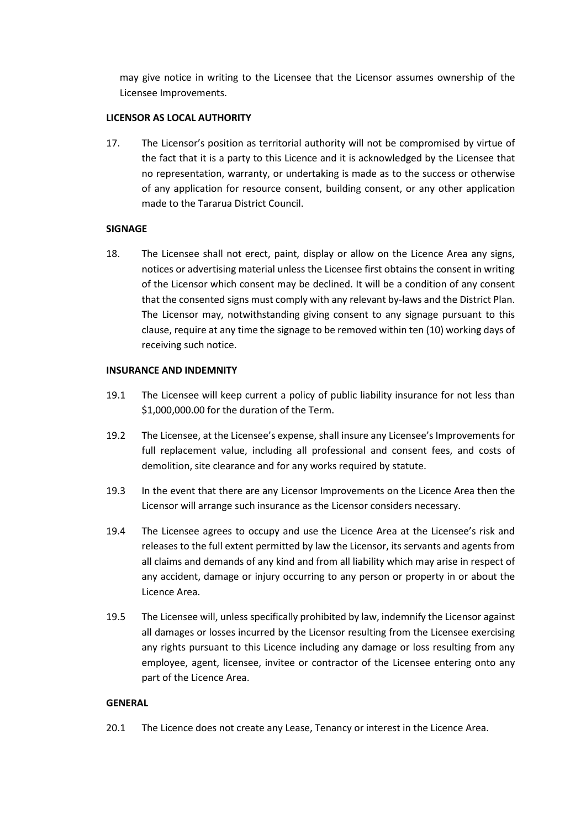may give notice in writing to the Licensee that the Licensor assumes ownership of the Licensee Improvements.

#### **LICENSOR AS LOCAL AUTHORITY**

17. The Licensor's position as territorial authority will not be compromised by virtue of the fact that it is a party to this Licence and it is acknowledged by the Licensee that no representation, warranty, or undertaking is made as to the success or otherwise of any application for resource consent, building consent, or any other application made to the Tararua District Council.

### **SIGNAGE**

18. The Licensee shall not erect, paint, display or allow on the Licence Area any signs, notices or advertising material unless the Licensee first obtains the consent in writing of the Licensor which consent may be declined. It will be a condition of any consent that the consented signs must comply with any relevant by-laws and the District Plan. The Licensor may, notwithstanding giving consent to any signage pursuant to this clause, require at any time the signage to be removed within ten (10) working days of receiving such notice.

### **INSURANCE AND INDEMNITY**

- 19.1 The Licensee will keep current a policy of public liability insurance for not less than \$1,000,000.00 for the duration of the Term.
- 19.2 The Licensee, at the Licensee's expense, shall insure any Licensee's Improvements for full replacement value, including all professional and consent fees, and costs of demolition, site clearance and for any works required by statute.
- 19.3 In the event that there are any Licensor Improvements on the Licence Area then the Licensor will arrange such insurance as the Licensor considers necessary.
- 19.4 The Licensee agrees to occupy and use the Licence Area at the Licensee's risk and releases to the full extent permitted by law the Licensor, its servants and agents from all claims and demands of any kind and from all liability which may arise in respect of any accident, damage or injury occurring to any person or property in or about the Licence Area.
- 19.5 The Licensee will, unless specifically prohibited by law, indemnify the Licensor against all damages or losses incurred by the Licensor resulting from the Licensee exercising any rights pursuant to this Licence including any damage or loss resulting from any employee, agent, licensee, invitee or contractor of the Licensee entering onto any part of the Licence Area.

### **GENERAL**

20.1 The Licence does not create any Lease, Tenancy or interest in the Licence Area.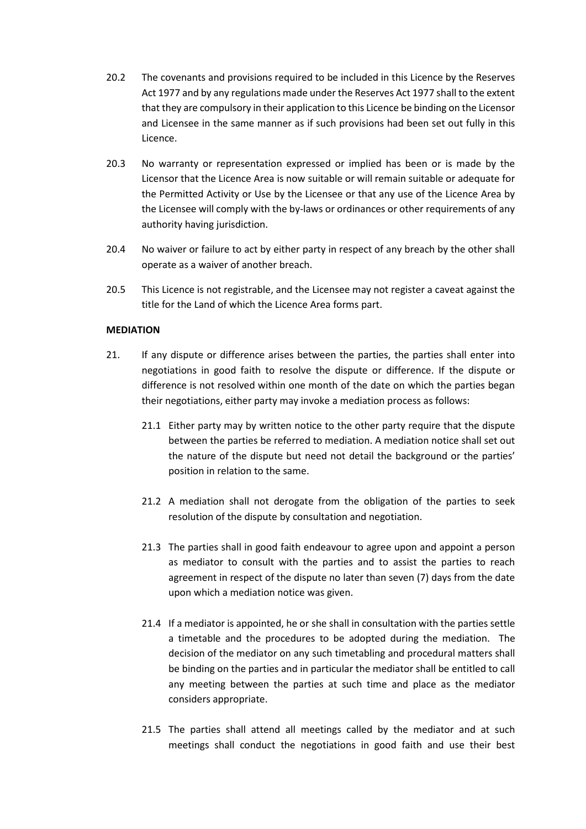- 20.2 The covenants and provisions required to be included in this Licence by the Reserves Act 1977 and by any regulations made under the Reserves Act 1977 shall to the extent that they are compulsory in their application to this Licence be binding on the Licensor and Licensee in the same manner as if such provisions had been set out fully in this Licence.
- 20.3 No warranty or representation expressed or implied has been or is made by the Licensor that the Licence Area is now suitable or will remain suitable or adequate for the Permitted Activity or Use by the Licensee or that any use of the Licence Area by the Licensee will comply with the by-laws or ordinances or other requirements of any authority having jurisdiction.
- 20.4 No waiver or failure to act by either party in respect of any breach by the other shall operate as a waiver of another breach.
- 20.5 This Licence is not registrable, and the Licensee may not register a caveat against the title for the Land of which the Licence Area forms part.

#### **MEDIATION**

- 21. If any dispute or difference arises between the parties, the parties shall enter into negotiations in good faith to resolve the dispute or difference. If the dispute or difference is not resolved within one month of the date on which the parties began their negotiations, either party may invoke a mediation process as follows:
	- 21.1 Either party may by written notice to the other party require that the dispute between the parties be referred to mediation. A mediation notice shall set out the nature of the dispute but need not detail the background or the parties' position in relation to the same.
	- 21.2 A mediation shall not derogate from the obligation of the parties to seek resolution of the dispute by consultation and negotiation.
	- 21.3 The parties shall in good faith endeavour to agree upon and appoint a person as mediator to consult with the parties and to assist the parties to reach agreement in respect of the dispute no later than seven (7) days from the date upon which a mediation notice was given.
	- 21.4 If a mediator is appointed, he or she shall in consultation with the parties settle a timetable and the procedures to be adopted during the mediation. The decision of the mediator on any such timetabling and procedural matters shall be binding on the parties and in particular the mediator shall be entitled to call any meeting between the parties at such time and place as the mediator considers appropriate.
	- 21.5 The parties shall attend all meetings called by the mediator and at such meetings shall conduct the negotiations in good faith and use their best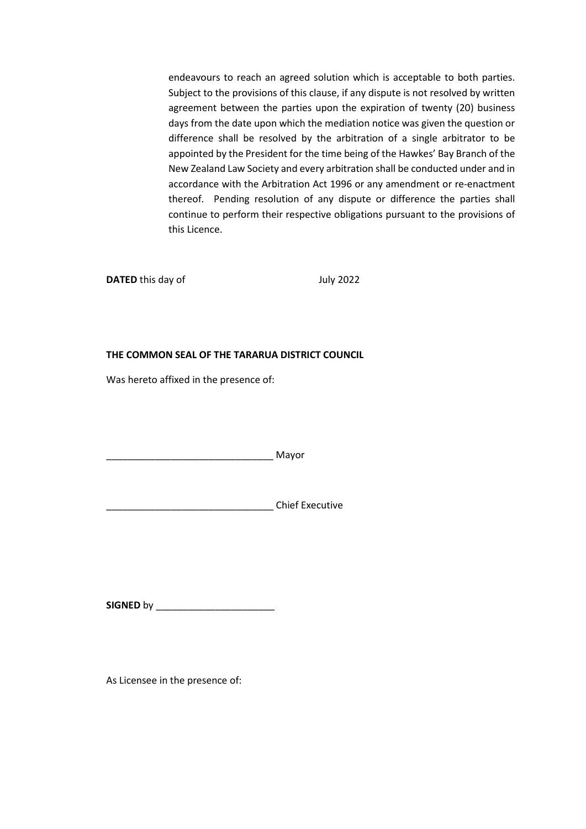endeavours to reach an agreed solution which is acceptable to both parties. Subject to the provisions of this clause, if any dispute is not resolved by written agreement between the parties upon the expiration of twenty (20) business days from the date upon which the mediation notice was given the question or difference shall be resolved by the arbitration of a single arbitrator to be appointed by the President for the time being of the Hawkes' Bay Branch of the New Zealand Law Society and every arbitration shall be conducted under and in accordance with the Arbitration Act 1996 or any amendment or re-enactment thereof. Pending resolution of any dispute or difference the parties shall continue to perform their respective obligations pursuant to the provisions of this Licence.

**DATED** this day of July 2022

### **THE COMMON SEAL OF THE TARARUA DISTRICT COUNCIL**

Was hereto affixed in the presence of:

 $\blacksquare$  Mayor

\_\_\_\_\_\_\_\_\_\_\_\_\_\_\_\_\_\_\_\_\_\_\_\_\_\_\_\_\_\_\_ Chief Executive

**SIGNED** by \_\_\_\_\_\_\_\_\_\_\_\_\_\_\_\_\_\_\_\_\_\_

As Licensee in the presence of: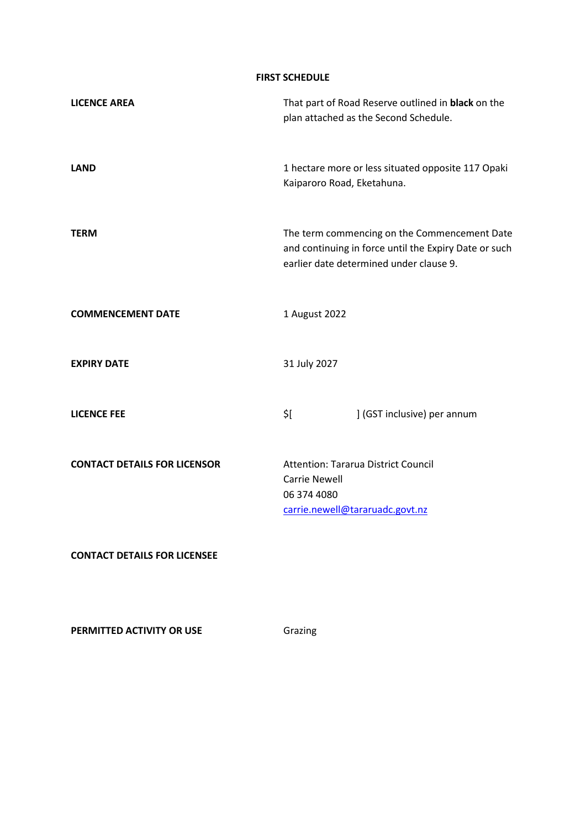**FIRST SCHEDULE**

| <b>LICENCE AREA</b>                 | That part of Road Reserve outlined in black on the<br>plan attached as the Second Schedule.                                                      |                             |
|-------------------------------------|--------------------------------------------------------------------------------------------------------------------------------------------------|-----------------------------|
| <b>LAND</b>                         | 1 hectare more or less situated opposite 117 Opaki<br>Kaiparoro Road, Eketahuna.                                                                 |                             |
| <b>TERM</b>                         | The term commencing on the Commencement Date<br>and continuing in force until the Expiry Date or such<br>earlier date determined under clause 9. |                             |
| <b>COMMENCEMENT DATE</b>            | 1 August 2022                                                                                                                                    |                             |
| <b>EXPIRY DATE</b>                  | 31 July 2027                                                                                                                                     |                             |
| <b>LICENCE FEE</b>                  | \$[                                                                                                                                              | ] (GST inclusive) per annum |
| <b>CONTACT DETAILS FOR LICENSOR</b> | <b>Attention: Tararua District Council</b><br><b>Carrie Newell</b><br>06 374 4080<br>carrie.newell@tararuadc.govt.nz                             |                             |
| <b>CONTACT DETAILS FOR LICENSEE</b> |                                                                                                                                                  |                             |

**PERMITTED ACTIVITY OR USE** Grazing